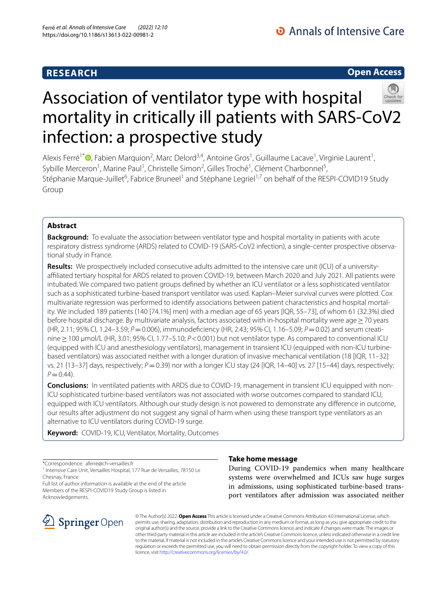## **RESEARCH**

**Open Access**

# Association of ventilator type with hospital mortality in critically ill patients with SARS-CoV2 infection: a prospective study

Alexis Ferré<sup>1\*</sup><sup>®</sup>[,](http://orcid.org/0000-0002-5752-8274) Fabien Marquion<sup>2</sup>, Marc Delord<sup>3,4</sup>, Antoine Gros<sup>1</sup>, Guillaume Lacave<sup>1</sup>, Virginie Laurent<sup>1</sup>, Sybille Merceron<sup>1</sup>, Marine Paul<sup>1</sup>, Christelle Simon<sup>2</sup>, Gilles Troché<sup>1</sup>, Clément Charbonnel<sup>5</sup>, Stéphanie Marque-Juillet<sup>6</sup>, Fabrice Bruneel<sup>1</sup> and Stéphane Legriel<sup>1,7</sup> on behalf of the RESPI-COVID19 Study Group

## **Abstract**

**Background:** To evaluate the association between ventilator type and hospital mortality in patients with acute respiratory distress syndrome (ARDS) related to COVID-19 (SARS-CoV2 infection), a single-center prospective observational study in France.

**Results:** We prospectively included consecutive adults admitted to the intensive care unit (ICU) of a universityafliated tertiary hospital for ARDS related to proven COVID-19, between March 2020 and July 2021. All patients were intubated. We compared two patient groups defned by whether an ICU ventilator or a less sophisticated ventilator such as a sophisticated turbine-based transport ventilator was used. Kaplan–Meier survival curves were plotted. Cox multivariate regression was performed to identify associations between patient characteristics and hospital mortal‑ ity. We included 189 patients (140 [74.1%] men) with a median age of 65 years [IQR, 55–73], of whom 61 (32.3%) died before hospital discharge. By multivariate analysis, factors associated with in-hospital mortality were age ≥70 years (HR, 2.11; 95% CI, 1.24–3.59; *P*=0.006), immunodefciency (HR, 2.43; 95% CI, 1.16–5.09; *P*=0.02) and serum creati‑ nine≥100 µmol/L (HR, 3.01; 95% CI, 1.77–5.10; *P*<0.001) but not ventilator type. As compared to conventional ICU (equipped with ICU and anesthesiology ventilators), management in transient ICU (equipped with non-ICU turbinebased ventilators) was associated neither with a longer duration of invasive mechanical ventilation (18 [IQR, 11–32] vs. 21 [13–37] days, respectively; *P*=0.39) nor with a longer ICU stay (24 [IQR, 14–40] vs. 27 [15–44] days, respectively;  $P = 0.44$ .

**Conclusions:** In ventilated patients with ARDS due to COVID-19, management in transient ICU equipped with non-ICU sophisticated turbine-based ventilators was not associated with worse outcomes compared to standard ICU, equipped with ICU ventilators. Although our study design is not powered to demonstrate any diference in outcome, our results after adjustment do not suggest any signal of harm when using these transport type ventilators as an alternative to ICU ventilators during COVID-19 surge.

**Keyword:** COVID-19, ICU, Ventilator, Mortality, Outcomes

\*Correspondence: aferre@ch-versailles.fr

<sup>1</sup> Intensive Care Unit, Versailles Hospital, 177 Rue de Versailles, 78150 Le Chesnay, France Full list of author information is available at the end of the article

Members of the RESPI-COVID19 Study Group is listed in Acknowledgements.

## **Take home message**

During COVID-19 pandemics when many healthcare systems were overwhelmed and ICUs saw huge surges in admissions, using sophisticated turbine-based transport ventilators after admission was associated neither





© The Author(s) 2022. **Open Access** This article is licensed under a Creative Commons Attribution 4.0 International License, which permits use, sharing, adaptation, distribution and reproduction in any medium or format, as long as you give appropriate credit to the original author(s) and the source, provide a link to the Creative Commons licence, and indicate if changes were made. The images or other third party material in this article are included in the article's Creative Commons licence, unless indicated otherwise in a credit line to the material. If material is not included in the article's Creative Commons licence and your intended use is not permitted by statutory regulation or exceeds the permitted use, you will need to obtain permission directly from the copyright holder. To view a copy of this licence, visit [http://creativecommons.org/licenses/by/4.0/.](http://creativecommons.org/licenses/by/4.0/)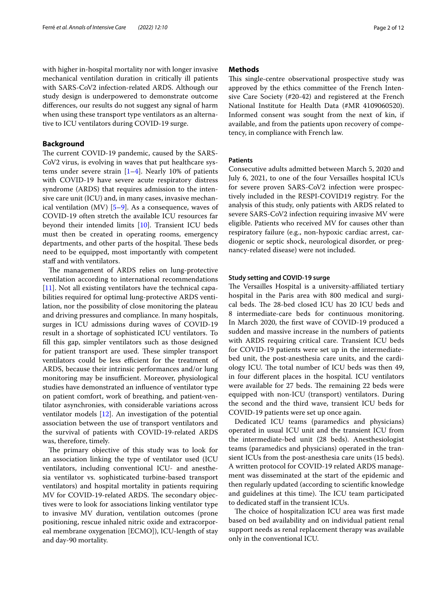with higher in-hospital mortality nor with longer invasive mechanical ventilation duration in critically ill patients with SARS-CoV2 infection-related ARDS. Although our study design is underpowered to demonstrate outcome diferences, our results do not suggest any signal of harm when using these transport type ventilators as an alternative to ICU ventilators during COVID-19 surge.

## **Background**

The current COVID-19 pandemic, caused by the SARS-CoV2 virus, is evolving in waves that put healthcare systems under severe strain  $[1-4]$  $[1-4]$ . Nearly 10% of patients with COVID-19 have severe acute respiratory distress syndrome (ARDS) that requires admission to the intensive care unit (ICU) and, in many cases, invasive mechanical ventilation (MV)  $[5-9]$  $[5-9]$ . As a consequence, waves of COVID-19 often stretch the available ICU resources far beyond their intended limits [[10](#page-10-4)]. Transient ICU beds must then be created in operating rooms, emergency departments, and other parts of the hospital. These beds need to be equipped, most importantly with competent staff and with ventilators.

The management of ARDS relies on lung-protective ventilation according to international recommendations [[11\]](#page-10-5). Not all existing ventilators have the technical capabilities required for optimal lung-protective ARDS ventilation, nor the possibility of close monitoring the plateau and driving pressures and compliance. In many hospitals, surges in ICU admissions during waves of COVID-19 result in a shortage of sophisticated ICU ventilators. To fll this gap, simpler ventilators such as those designed for patient transport are used. These simpler transport ventilators could be less efficient for the treatment of ARDS, because their intrinsic performances and/or lung monitoring may be insufficient. Moreover, physiological studies have demonstrated an infuence of ventilator type on patient comfort, work of breathing, and patient-ventilator asynchronies, with considerable variations across ventilator models [[12\]](#page-10-6). An investigation of the potential association between the use of transport ventilators and the survival of patients with COVID-19-related ARDS was, therefore, timely.

The primary objective of this study was to look for an association linking the type of ventilator used (ICU ventilators, including conventional ICU- and anesthesia ventilator vs. sophisticated turbine-based transport ventilators) and hospital mortality in patients requiring MV for COVID-19-related ARDS. The secondary objectives were to look for associations linking ventilator type to invasive MV duration, ventilation outcomes (prone positioning, rescue inhaled nitric oxide and extracorporeal membrane oxygenation [ECMO]), ICU-length of stay and day-90 mortality.

## **Methods**

This single-centre observational prospective study was approved by the ethics committee of the French Intensive Care Society (#20-42) and registered at the French National Institute for Health Data (#MR 4109060520). Informed consent was sought from the next of kin, if available, and from the patients upon recovery of competency, in compliance with French law.

#### **Patients**

Consecutive adults admitted between March 5, 2020 and July 6, 2021, to one of the four Versailles hospital ICUs for severe proven SARS-CoV2 infection were prospectively included in the RESPI-COVID19 registry. For the analysis of this study, only patients with ARDS related to severe SARS-CoV2 infection requiring invasive MV were eligible. Patients who received MV for causes other than respiratory failure (e.g., non-hypoxic cardiac arrest, cardiogenic or septic shock, neurological disorder, or pregnancy-related disease) were not included.

## **Study setting and COVID‑19 surge**

The Versailles Hospital is a university-affiliated tertiary hospital in the Paris area with 800 medical and surgical beds. The 28-bed closed ICU has 20 ICU beds and 8 intermediate-care beds for continuous monitoring. In March 2020, the frst wave of COVID-19 produced a sudden and massive increase in the numbers of patients with ARDS requiring critical care. Transient ICU beds for COVID-19 patients were set up in the intermediatebed unit, the post-anesthesia care units, and the cardiology ICU. The total number of ICU beds was then 49, in four diferent places in the hospital. ICU ventilators were available for 27 beds. The remaining 22 beds were equipped with non-ICU (transport) ventilators. During the second and the third wave, transient ICU beds for COVID-19 patients were set up once again.

Dedicated ICU teams (paramedics and physicians) operated in usual ICU unit and the transient ICU from the intermediate-bed unit (28 beds). Anesthesiologist teams (paramedics and physicians) operated in the transient ICUs from the post-anesthesia care units (15 beds). A written protocol for COVID-19 related ARDS management was disseminated at the start of the epidemic and then regularly updated (according to scientifc knowledge and guidelines at this time). The ICU team participated to dedicated staff in the transient ICUs.

The choice of hospitalization ICU area was first made based on bed availability and on individual patient renal support needs as renal replacement therapy was available only in the conventional ICU.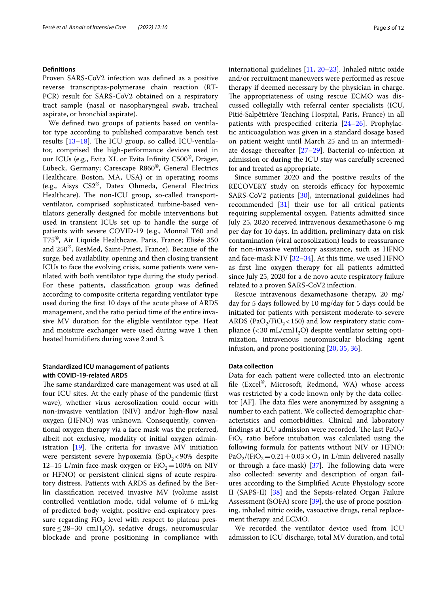## **Defnitions**

Proven SARS-CoV2 infection was defned as a positive reverse transcriptas-polymerase chain reaction (RT-PCR) result for SARS-CoV2 obtained on a respiratory tract sample (nasal or nasopharyngeal swab, tracheal aspirate, or bronchial aspirate).

We defned two groups of patients based on ventilator type according to published comparative bench test results  $[13-18]$  $[13-18]$ . The ICU group, so called ICU-ventilator, comprised the high-performance devices used in our ICUs (e.g., Evita XL or Evita Infnity C500®, Dräger, Lübeck, Germany; Carescape R860®, General Electrics Healthcare, Boston, MA, USA) or in operating rooms (e.g., Aisys CS2®, Datex Ohmeda, General Electrics Healthcare). The non-ICU group, so-called transportventilator, comprised sophisticated turbine-based ventilators generally designed for mobile interventions but used in transient ICUs set up to handle the surge of patients with severe COVID-19 (e.g., Monnal T60 and T75®, Air Liquide Healthcare, Paris, France; Elisée 350 and 250®, ResMed, Saint-Priest, France). Because of the surge, bed availability, opening and then closing transient ICUs to face the evolving crisis, some patients were ventilated with both ventilator type during the study period. For these patients, classifcation group was defned according to composite criteria regarding ventilator type used during the frst 10 days of the acute phase of ARDS management, and the ratio period time of the entire invasive MV duration for the eligible ventilator type. Heat and moisture exchanger were used during wave 1 then heated humidifers during wave 2 and 3.

## **Standardized ICU management of patients with COVID‑19‑related ARDS**

The same standardized care management was used at all four ICU sites. At the early phase of the pandemic (frst wave), whether virus aerosolization could occur with non-invasive ventilation (NIV) and/or high-flow nasal oxygen (HFNO) was unknown. Consequently, conventional oxygen therapy via a face mask was the preferred, albeit not exclusive, modality of initial oxygen administration  $[19]$  $[19]$ . The criteria for invasive MV initiation were persistent severe hypoxemia (SpO<sub>2</sub><90% despite 12–15 L/min face-mask oxygen or  $FiO<sub>2</sub>=100%$  on NIV or HFNO) or persistent clinical signs of acute respiratory distress. Patients with ARDS as defned by the Berlin classifcation received invasive MV (volume assist controlled ventilation mode, tidal volume of 6 mL/kg of predicted body weight, positive end-expiratory pressure regarding  $FiO<sub>2</sub>$  level with respect to plateau pressure  $\leq$  28–30 cmH<sub>2</sub>O), sedative drugs, neuromuscular blockade and prone positioning in compliance with international guidelines [\[11,](#page-10-5) [20–](#page-10-10)[23\]](#page-10-11). Inhaled nitric oxide and/or recruitment maneuvers were performed as rescue therapy if deemed necessary by the physician in charge. The appropriateness of using rescue ECMO was discussed collegially with referral center specialists (ICU, Pitié-Salpêtrière Teaching Hospital, Paris, France) in all patients with prespecifed criteria [\[24–](#page-10-12)[26\]](#page-11-0). Prophylactic anticoagulation was given in a standard dosage based on patient weight until March 25 and in an intermediate dosage thereafter [\[27–](#page-11-1)[29\]](#page-11-2). Bacterial co-infection at admission or during the ICU stay was carefully screened for and treated as appropriate.

Since summer 2020 and the positive results of the RECOVERY study on steroids efficacy for hypoxemic SARS-CoV2 patients [[30\]](#page-11-3), international guidelines had recommended [\[31](#page-11-4)] their use for all critical patients requiring supplemental oxygen. Patients admitted since July 25, 2020 received intravenous dexamethasone 6 mg per day for 10 days. In addition, preliminary data on risk contamination (viral aerosolization) leads to reassurance for non-invasive ventilatory assistance, such as HFNO and face-mask NIV [\[32](#page-11-5)–[34\]](#page-11-6). At this time, we used HFNO as frst line oxygen therapy for all patients admitted since July 25, 2020 for a de novo acute respiratory failure related to a proven SARS-CoV2 infection.

Rescue intravenous dexamethasone therapy, 20 mg/ day for 5 days followed by 10 mg/day for 5 days could be initiated for patients with persistent moderate-to-severe ARDS (PaO<sub>2</sub>/FiO<sub>2</sub> < 150) and low respiratory static compliance (<30 mL/cmH<sub>2</sub>O) despite ventilator setting optimization, intravenous neuromuscular blocking agent infusion, and prone positioning [\[20](#page-10-10), [35,](#page-11-7) [36](#page-11-8)].

## **Data collection**

Data for each patient were collected into an electronic fle (Excel®, Microsoft, Redmond, WA) whose access was restricted by a code known only by the data collector [AF]. The data files were anonymized by assigning a number to each patient. We collected demographic characteristics and comorbidities. Clinical and laboratory findings at ICU admission were recorded. The last  $PaO<sub>2</sub>/$ FiO<sub>2</sub> ratio before intubation was calculated using the following formula for patients without NIV or HFNO:  $PaO<sub>2</sub>/(FiO<sub>2</sub>=0.21+0.03\times O<sub>2</sub>$  in L/min delivered nasally or through a face-mask)  $[37]$  $[37]$ . The following data were also collected: severity and description of organ failures according to the Simplifed Acute Physiology score II (SAPS-II) [\[38](#page-11-10)] and the Sepsis-related Organ Failure Assessment (SOFA) score [[39](#page-11-11)], the use of prone positioning, inhaled nitric oxide, vasoactive drugs, renal replacement therapy, and ECMO.

We recorded the ventilator device used from ICU admission to ICU discharge, total MV duration, and total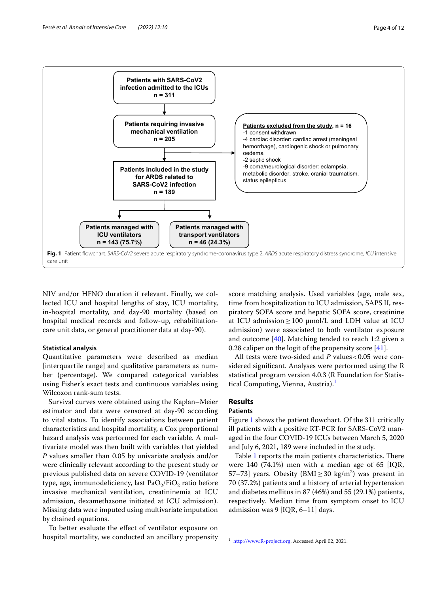

<span id="page-3-1"></span>NIV and/or HFNO duration if relevant. Finally, we collected ICU and hospital lengths of stay, ICU mortality, in-hospital mortality, and day-90 mortality (based on hospital medical records and follow-up, rehabilitationcare unit data, or general practitioner data at day-90).

## **Statistical analysis**

Quantitative parameters were described as median [interquartile range] and qualitative parameters as number (percentage). We compared categorical variables using Fisher's exact tests and continuous variables using Wilcoxon rank-sum tests.

Survival curves were obtained using the Kaplan–Meier estimator and data were censored at day-90 according to vital status. To identify associations between patient characteristics and hospital mortality, a Cox proportional hazard analysis was performed for each variable. A multivariate model was then built with variables that yielded *P* values smaller than 0.05 by univariate analysis and/or were clinically relevant according to the present study or previous published data on severe COVID-19 (ventilator type, age, immunodeficiency, last  $PaO<sub>2</sub>/FiO<sub>2</sub>$  ratio before invasive mechanical ventilation, creatininemia at ICU admission, dexamethasone initiated at ICU admission). Missing data were imputed using multivariate imputation by chained equations.

To better evaluate the efect of ventilator exposure on hospital mortality, we conducted an ancillary propensity

score matching analysis. Used variables (age, male sex, time from hospitalization to ICU admission, SAPS II, respiratory SOFA score and hepatic SOFA score, creatinine at ICU admission  $\geq$  100  $\mu$ mol/L and LDH value at ICU admission) were associated to both ventilator exposure and outcome [\[40\]](#page-11-12). Matching tended to reach 1:2 given a 0.28 caliper on the logit of the propensity score [[41\]](#page-11-13).

All tests were two-sided and *P* values < 0.05 were considered signifcant. Analyses were performed using the R statistical program version 4.0.3 (R Foundation for Statis-tical Computing, Vienna, Austria).<sup>[1](#page-3-0)</sup>

## **Results**

## **Patients**

Figure [1](#page-3-1) shows the patient fowchart. Of the 311 critically ill patients with a positive RT-PCR for SARS-CoV2 managed in the four COVID-19 ICUs between March 5, 2020 and July 6, 2021, 189 were included in the study.

Table [1](#page-4-0) reports the main patients characteristics. There were 140 (74.1%) men with a median age of 65 [IQR, 57–73] years. Obesity ( $\text{BMI} \geq 30 \text{ kg/m}^2$ ) was present in 70 (37.2%) patients and a history of arterial hypertension and diabetes mellitus in 87 (46%) and 55 (29.1%) patients, respectively. Median time from symptom onset to ICU admission was 9 [IQR, 6–11] days.

<span id="page-3-0"></span><sup>&</sup>lt;sup>1</sup> <http://www.R-project.org>. Accessed April 02, 2021.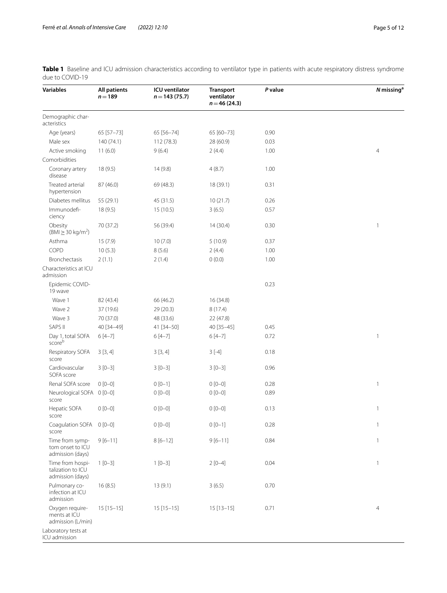| Variables                                                 | <b>All patients</b><br>$n = 189$ | <b>ICU</b> ventilator<br>$n = 143(75.7)$ | <b>Transport</b><br>ventilator<br>$n = 46(24.3)$ | P value | $N$ missing <sup>a</sup> |
|-----------------------------------------------------------|----------------------------------|------------------------------------------|--------------------------------------------------|---------|--------------------------|
| Demographic char-<br>acteristics                          |                                  |                                          |                                                  |         |                          |
| Age (years)                                               | 65 [57-73]                       | 65 [56-74]                               | 65 [60-73]                                       | 0.90    |                          |
| Male sex                                                  | 140(74.1)                        | 112 (78.3)                               | 28 (60.9)                                        | 0.03    |                          |
| Active smoking                                            | 11(6.0)                          | 9(6.4)                                   | 2(4.4)                                           | 1.00    | $\overline{4}$           |
| Comorbidities                                             |                                  |                                          |                                                  |         |                          |
| Coronary artery<br>disease                                | 18 (9.5)                         | 14 (9.8)                                 | 4(8.7)                                           | 1.00    |                          |
| Treated arterial<br>hypertension                          | 87 (46.0)                        | 69 (48.3)                                | 18 (39.1)                                        | 0.31    |                          |
| Diabetes mellitus                                         | 55 (29.1)                        | 45 (31.5)                                | 10(21.7)                                         | 0.26    |                          |
| Immunodefi-<br>ciency                                     | 18(9.5)                          | 15(10.5)                                 | 3(6.5)                                           | 0.57    |                          |
| Obesity<br>$(BMI \ge 30 \text{ kg/m}^2)$                  | 70 (37.2)                        | 56 (39.4)                                | 14(30.4)                                         | 0.30    | $\mathbf{1}$             |
| Asthma                                                    | 15(7.9)                          | 10(7.0)                                  | 5(10.9)                                          | 0.37    |                          |
| COPD                                                      | 10(5.3)                          | 8(5.6)                                   | 2(4.4)                                           | 1.00    |                          |
| <b>Bronchectasis</b>                                      | 2(1.1)                           | 2(1.4)                                   | 0(0.0)                                           | 1.00    |                          |
| Characteristics at ICU<br>admission                       |                                  |                                          |                                                  |         |                          |
| Epidemic COVID-<br>19 wave                                |                                  |                                          |                                                  | 0.23    |                          |
| Wave 1                                                    | 82 (43.4)                        | 66 (46.2)                                | 16 (34.8)                                        |         |                          |
| Wave 2                                                    | 37 (19.6)                        | 29 (20.3)                                | 8(17.4)                                          |         |                          |
| Wave 3                                                    | 70 (37.0)                        | 48 (33.6)                                | 22 (47.8)                                        |         |                          |
| SAPS II                                                   | 40 [34-49]                       | 41 [34-50]                               | 40 [35-45]                                       | 0.45    |                          |
| Day 1, total SOFA<br>scoreb                               | $6[4-7]$                         | $6[4-7]$                                 | $6[4-7]$                                         | 0.72    | $\mathbf{1}$             |
| Respiratory SOFA<br>score                                 | 3[3,4]                           | 3[3,4]                                   | $3[-4]$                                          | 0.18    |                          |
| Cardiovascular<br>SOFA score                              | $3[0-3]$                         | $3[0-3]$                                 | $3[0-3]$                                         | 0.96    |                          |
| Renal SOFA score                                          | $0 [0 - 0]$                      | $0 [0-1]$                                | $0 [0 - 0]$                                      | 0.28    | $\mathbf{1}$             |
| Neurological SOFA 0 [0-0]<br>score                        |                                  | $0 [0 - 0]$                              | $0 [0 - 0]$                                      | 0.89    |                          |
| Hepatic SOFA<br>score                                     | $0 [0 - 0]$                      | $0 [0 - 0]$                              | $0 [0 - 0]$                                      | 0.13    | $\mathbf{1}$             |
| Coagulation SOFA 0 [0-0]<br>score                         |                                  | $0 [0 - 0]$                              | $0 [0-1]$                                        | 0.28    | $\mathbf{1}$             |
| Time from symp-<br>tom onset to ICU<br>admission (days)   | $9[6 - 11]$                      | $8[6-12]$                                | $9[6 - 11]$                                      | 0.84    | $\mathbf{1}$             |
| Time from hospi-<br>talization to ICU<br>admission (days) | $1 [0-3]$                        | $1[0-3]$                                 | $2[0-4]$                                         | 0.04    | $\mathbf{1}$             |
| Pulmonary co-<br>infection at ICU<br>admission            | 16(8.5)                          | 13(9.1)                                  | 3(6.5)                                           | 0.70    |                          |
| Oxygen require-<br>ments at ICU<br>admission (L/min)      | 15 [15-15]                       | $15[15-15]$                              | $15[13-15]$                                      | 0.71    | $\overline{4}$           |
| Laboratory tests at<br>ICU admission                      |                                  |                                          |                                                  |         |                          |

<span id="page-4-0"></span>**Table 1** Baseline and ICU admission characteristics according to ventilator type in patients with acute respiratory distress syndrome due to COVID-19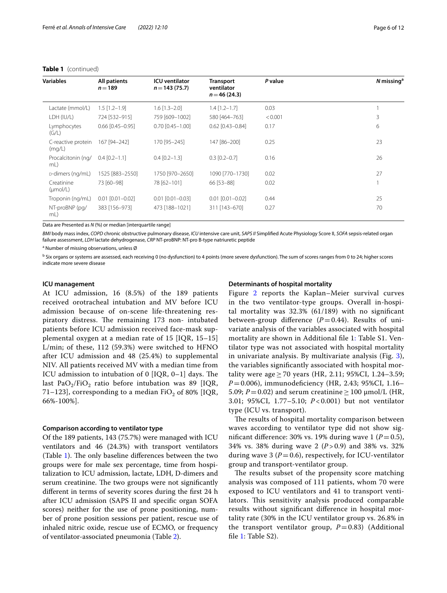#### **Table 1** (continued)

| <b>Variables</b>                   | All patients<br>$n = 189$ | <b>ICU</b> ventilator<br>$n = 143(75.7)$ | <b>Transport</b><br>ventilator<br>$n = 46(24.3)$ | P value | $N$ missing <sup>a</sup> |
|------------------------------------|---------------------------|------------------------------------------|--------------------------------------------------|---------|--------------------------|
| Lactate (mmol/L)                   | $1.5$ [1.2-1.9]           | $1.6$ [1.3–2.0]                          | $1.4$ [1.2-1.7]                                  | 0.03    |                          |
| LDH (IU/L)                         | 724 [532-915]             | 759 [609-1002]                           | 580 [464-763]                                    | < 0.001 | 3                        |
| Lymphocytes<br>(G/L)               | $0.66$ $[0.45 - 0.95]$    | $0.70$ $[0.45 - 1.00]$                   | $0.62$ [0.43-0.84]                               | 0.17    | 6                        |
| C-reactive protein<br>(mq/L)       | 167 [94-242]              | 170 [95-245]                             | 147 [86-200]                                     | 0.25    | 23                       |
| Procalcitonin (ng/<br>mL)          | $0.4$ $[0.2 - 1.1]$       | $0.4$ $[0.2 - 1.3]$                      | $0.3$ $[0.2 - 0.7]$                              | 0.16    | 26                       |
| D-dimers (ng/mL)                   | 1525 [883-2550]           | 1750 [970-2650]                          | 1090 [770-1730]                                  | 0.02    | 27                       |
| Creatinine<br>$(\mu \text{mol/L})$ | 73 [60-98]                | 78 [62-101]                              | 66 [53-88]                                       | 0.02    |                          |
| Troponin (ng/mL)                   | $0.01$ $[0.01 - 0.02]$    | $0.01$ $[0.01 - 0.03]$                   | $0.01$ $[0.01 - 0.02]$                           | 0.44    | 25                       |
| NT-proBNP (pg/<br>mL               | 383 [156-973]             | 473 [188-1021]                           | 311 [143-670]                                    | 0.27    | 70                       |

Data are Presented as *N* (%) or median [interquartile range]

*BMI* body mass index, *COPD* chronic obstructive pulmonary disease, *ICU* intensive care unit, *SAPS II* Simplifed Acute Physiology Score II, *SOFA* sepsis-related organ failure assessment, *LDH* lactate dehydrogenase, *CRP* NT-proBNP: NT-pro B-type natriuretic peptide

<sup>a</sup> Number of missing observations, unless Ø

b Six organs or systems are assessed, each receiving 0 (no dysfunction) to 4 points (more severe dysfunction). The sum of scores ranges from 0 to 24; higher scores indicate more severe disease

#### **ICU management**

At ICU admission, 16 (8.5%) of the 189 patients received orotracheal intubation and MV before ICU admission because of on-scene life-threatening respiratory distress. The remaining 173 non- intubated patients before ICU admission received face-mask supplemental oxygen at a median rate of 15 [IQR, 15–15] L/min; of these, 112 (59.3%) were switched to HFNO after ICU admission and 48 (25.4%) to supplemental NIV. All patients received MV with a median time from ICU admission to intubation of  $0$  [IQR, 0–1] days. The last PaO<sub>2</sub>/FiO<sub>2</sub> ratio before intubation was 89 [IQR, 71–123], corresponding to a median  $FiO_2$  of 80% [IQR, 66%-100%].

#### **Comparison according to ventilator type**

Of the 189 patients, 143 (75.7%) were managed with ICU ventilators and 46 (24.3%) with transport ventilators (Table [1](#page-4-0)). The only baseline differences between the two groups were for male sex percentage, time from hospitalization to ICU admission, lactate, LDH, D-dimers and serum creatinine. The two groups were not significantly diferent in terms of severity scores during the frst 24 h after ICU admission (SAPS II and specifc organ SOFA scores) neither for the use of prone positioning, number of prone position sessions per patient, rescue use of inhaled nitric oxide, rescue use of ECMO, or frequency of ventilator-associated pneumonia (Table [2\)](#page-6-0).

#### **Determinants of hospital mortality**

Figure [2](#page-7-0) reports the Kaplan–Meier survival curves in the two ventilator-type groups. Overall in-hospital mortality was 32.3% (61/189) with no signifcant between-group difference  $(P=0.44)$ . Results of univariate analysis of the variables associated with hospital mortality are shown in Additional fle [1:](#page-9-0) Table S1. Ventilator type was not associated with hospital mortality in univariate analysis. By multivariate analysis (Fig. [3](#page-7-1)), the variables signifcantly associated with hospital mortality were age  $\geq$  70 years (HR, 2.11; 95%CI, 1.24–3.59; *P*=0.006), immunodefciency (HR, 2.43; 95%CI, 1.16– 5.09;  $P = 0.02$ ) and serum creatinine  $\geq 100$  µmol/L (HR, 3.01; 95%CI, 1.77–5.10; *P* < 0.001) but not ventilator type (ICU vs. transport).

The results of hospital mortality comparison between waves according to ventilator type did not show significant difference: 30% vs. 19% during wave 1 ( $P = 0.5$ ), 34% vs. 38% during wave 2 (*P* > 0.9) and 38% vs. 32% during wave 3 ( $P=0.6$ ), respectively, for ICU-ventilator group and transport-ventilator group.

The results subset of the propensity score matching analysis was composed of 111 patients, whom 70 were exposed to ICU ventilators and 41 to transport ventilators. This sensitivity analysis produced comparable results without signifcant diference in hospital mortality rate (30% in the ICU ventilator group vs. 26.8% in the transport ventilator group,  $P=0.83$ ) (Additional file [1](#page-9-0): Table S2).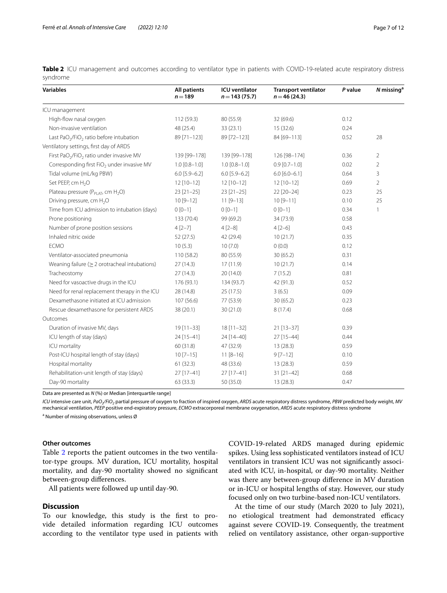<span id="page-6-0"></span>**Table 2** ICU management and outcomes according to ventilator type in patients with COVID-19-related acute respiratory distress syndrome

| <b>Variables</b>                                                 | <b>All patients</b><br>$n = 189$ | <b>ICU</b> ventilator<br>$n = 143(75.7)$ | <b>Transport ventilator</b><br>$n = 46(24.3)$ | P value | $N$ missing <sup>a</sup> |
|------------------------------------------------------------------|----------------------------------|------------------------------------------|-----------------------------------------------|---------|--------------------------|
| ICU management                                                   |                                  |                                          |                                               |         |                          |
| High-flow nasal oxygen                                           | 112 (59.3)                       | 80 (55.9)                                | 32 (69.6)                                     | 0.12    |                          |
| Non-invasive ventilation                                         | 48 (25.4)                        | 33(23.1)                                 | 15(32.6)                                      | 0.24    |                          |
| Last PaO <sub>2</sub> /FiO <sub>2</sub> ratio before intubation  | 89 [71-123]                      | 89 [72-123]                              | 84 [69-113]                                   | 0.52    | 28                       |
| Ventilatory settings, first day of ARDS                          |                                  |                                          |                                               |         |                          |
| First PaO <sub>2</sub> /FiO <sub>2</sub> ratio under invasive MV | 139 [99-178]                     | 139 [99-178]                             | 126 [98-174]                                  | 0.36    | $\overline{2}$           |
| Corresponding first FiO <sub>2</sub> under invasive MV           | $1.0$ [0.8-1.0]                  | $1.0$ [0.8-1.0]                          | $0.9$ [0.7-1.0]                               | 0.02    | $\overline{2}$           |
| Tidal volume (mL/kg PBW)                                         | $6.0$ [5.9-6.2]                  | $6.0$ [5.9-6.2]                          | $6.0$ [6.0-6.1]                               | 0.64    | 3                        |
| Set PEEP, cm H <sub>2</sub> O                                    | $12$ [10-12]                     | $12[10-12]$                              | $12[10-12]$                                   | 0.69    | $\overline{2}$           |
| Plateau pressure ( $P_{PI AT}$ , cm H <sub>2</sub> O)            | $23 [21 - 25]$                   | $23 [21 - 25]$                           | 22 [20-24]                                    | 0.23    | 25                       |
| Driving pressure, cm H <sub>2</sub> O                            | $10[9-12]$                       | $11 [9 - 13]$                            | $10[9-11]$                                    | 0.10    | 25                       |
| Time from ICU admission to intubation (days)                     | $0 [0-1]$                        | $0 [0-1]$                                | $0[0-1]$                                      | 0.34    | $\mathbf{1}$             |
| Prone positioning                                                | 133 (70.4)                       | 99 (69.2)                                | 34 (73.9)                                     | 0.58    |                          |
| Number of prone position sessions                                | $4[2-7]$                         | $4[2-8]$                                 | $4[2-6]$                                      | 0.43    |                          |
| Inhaled nitric oxide                                             | 52(27.5)                         | 42 (29.4)                                | 10(21.7)                                      | 0.35    |                          |
| <b>ECMO</b>                                                      | 10(5.3)                          | 10(7.0)                                  | 0(0.0)                                        | 0.12    |                          |
| Ventilator-associated pneumonia                                  | 110 (58.2)                       | 80 (55.9)                                | 30(65.2)                                      | 0.31    |                          |
| Weaning failure ( $\geq$ 2 orotracheal intubations)              | 27(14.3)                         | 17(11.9)                                 | 10(21.7)                                      | 0.14    |                          |
| Tracheostomy                                                     | 27(14.3)                         | 20(14.0)                                 | 7(15.2)                                       | 0.81    |                          |
| Need for vasoactive drugs in the ICU                             | 176 (93.1)                       | 134 (93.7)                               | 42 (91.3)                                     | 0.52    |                          |
| Need for renal replacement therapy in the ICU                    | 28 (14.8)                        | 25(17.5)                                 | 3(6.5)                                        | 0.09    |                          |
| Dexamethasone initiated at ICU admission                         | 107 (56.6)                       | 77 (53.9)                                | 30(65.2)                                      | 0.23    |                          |
| Rescue dexamethasone for persistent ARDS                         | 38 (20.1)                        | 30(21.0)                                 | 8(17.4)                                       | 0.68    |                          |
| Outcomes                                                         |                                  |                                          |                                               |         |                          |
| Duration of invasive MV, days                                    | $19[11-33]$                      | $18[11-32]$                              | 21 [13-37]                                    | 0.39    |                          |
| ICU length of stay (days)                                        | 24 [15-41]                       | 24 [14-40]                               | 27 [15-44]                                    | 0.44    |                          |
| ICU mortality                                                    | 60 (31.8)                        | 47 (32.9)                                | 13(28.3)                                      | 0.59    |                          |
| Post-ICU hospital length of stay (days)                          | $10[7-15]$                       | $11 [8 - 16]$                            | $9 [7 - 12]$                                  | 0.10    |                          |
| Hospital mortality                                               | 61(32.3)                         | 48 (33.6)                                | 13(28.3)                                      | 0.59    |                          |
| Rehabilitation-unit length of stay (days)                        | 27 [17-41]                       | 27 [17-41]                               | 31 [21-42]                                    | 0.68    |                          |
| Day-90 mortality                                                 | 63 (33.3)                        | 50 (35.0)                                | 13(28.3)                                      | 0.47    |                          |

Data are presented as *N* (%) or Median [interquartile range]

*ICU* intensive care unit, *PaO2/FiO2* partial pressure of oxygen to fraction of inspired oxygen, *ARDS* acute respiratory distress syndrome, *PBW* predicted body weight, *MV* mechanical ventilation, *PEEP* positive end-expiratory pressure, *ECMO* extracorporeal membrane oxygenation, *ARDS* acute respiratory distress syndrome

<sup>a</sup> Number of missing observations, unless Ø

## **Other outcomes**

Table [2](#page-6-0) reports the patient outcomes in the two ventilator-type groups. MV duration, ICU mortality, hospital mortality, and day-90 mortality showed no signifcant between-group diferences.

All patients were followed up until day-90.

## **Discussion**

To our knowledge, this study is the frst to provide detailed information regarding ICU outcomes according to the ventilator type used in patients with COVID-19-related ARDS managed during epidemic spikes. Using less sophisticated ventilators instead of ICU ventilators in transient ICU was not signifcantly associated with ICU, in-hospital, or day-90 mortality. Neither was there any between-group diference in MV duration or in-ICU or hospital lengths of stay. However, our study focused only on two turbine-based non-ICU ventilators.

At the time of our study (March 2020 to July 2021), no etiological treatment had demonstrated efficacy against severe COVID-19. Consequently, the treatment relied on ventilatory assistance, other organ-supportive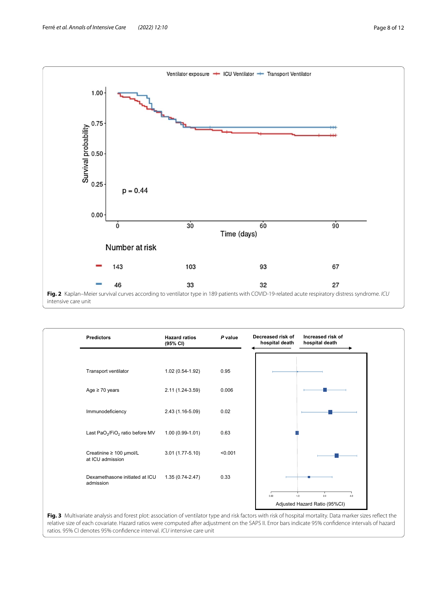

<span id="page-7-0"></span>

<span id="page-7-1"></span>**Fig. 3** Multivariate analysis and forest plot: association of ventilator type and risk factors with risk of hospital mortality. Data marker sizes refect the relative size of each covariate. Hazard ratios were computed after adjustment on the SAPS II. Error bars indicate 95% confdence intervals of hazard ratios. 95% CI denotes 95% confdence interval. *ICU* intensive care unit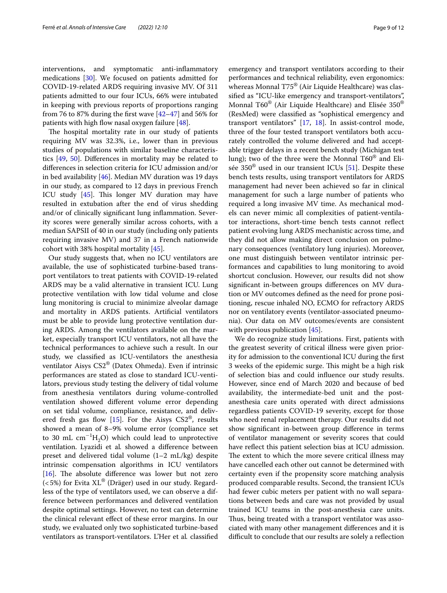interventions, and symptomatic anti-infammatory medications [[30\]](#page-11-3). We focused on patients admitted for COVID-19-related ARDS requiring invasive MV. Of 311 patients admitted to our four ICUs, 66% were intubated in keeping with previous reports of proportions ranging from 76 to 87% during the frst wave [[42–](#page-11-14)[47](#page-11-15)] and 56% for patients with high flow nasal oxygen failure  $[48]$  $[48]$ .

The hospital mortality rate in our study of patients requiring MV was 32.3%, i.e., lower than in previous studies of populations with similar baseline characteristics [[49,](#page-11-17) [50](#page-11-18)]. Diferences in mortality may be related to diferences in selection criteria for ICU admission and/or in bed availability [\[46](#page-11-19)]. Median MV duration was 19 days in our study, as compared to 12 days in previous French ICU study  $[45]$  $[45]$ . This longer MV duration may have resulted in extubation after the end of virus shedding and/or of clinically signifcant lung infammation. Severity scores were generally similar across cohorts, with a median SAPSII of 40 in our study (including only patients requiring invasive MV) and 37 in a French nationwide cohort with 38% hospital mortality [\[45\]](#page-11-20).

Our study suggests that, when no ICU ventilators are available, the use of sophisticated turbine-based transport ventilators to treat patients with COVID-19-related ARDS may be a valid alternative in transient ICU. Lung protective ventilation with low tidal volume and close lung monitoring is crucial to minimize alveolar damage and mortality in ARDS patients. Artifcial ventilators must be able to provide lung protective ventilation during ARDS. Among the ventilators available on the market, especially transport ICU ventilators, not all have the technical performances to achieve such a result. In our study, we classifed as ICU-ventilators the anesthesia ventilator Aisys CS2® (Datex Ohmeda). Even if intrinsic performances are stated as close to standard ICU-ventilators, previous study testing the delivery of tidal volume from anesthesia ventilators during volume-controlled ventilation showed diferent volume error depending on set tidal volume, compliance, resistance, and deliv-ered fresh gas flow [[15](#page-10-13)]. For the Aisys  $CS2^{\circledast}$ , results showed a mean of 8–9% volume error (compliance set to 30 mL  $\text{cm}^{-1}\text{H}_2\text{O}$ ) which could lead to unprotective ventilation. Lyazidi et al*.* showed a diference between preset and delivered tidal volume (1–2 mL/kg) despite intrinsic compensation algorithms in ICU ventilators [ $16$ ]. The absolute difference was lower but not zero  $(<5\%)$  for Evita XL® (Dräger) used in our study. Regardless of the type of ventilators used, we can observe a difference between performances and delivered ventilation despite optimal settings. However, no test can determine the clinical relevant efect of these error margins. In our study, we evaluated only two sophisticated turbine-based ventilators as transport-ventilators. L'Her et al*.* classifed

emergency and transport ventilators according to their performances and technical reliability, even ergonomics: whereas Monnal T75® (Air Liquide Healthcare) was classifed as "ICU-like emergency and transport-ventilators", Monnal T60® (Air Liquide Healthcare) and Elisée 350® (ResMed) were classifed as "sophistical emergency and transport ventilators" [[17,](#page-10-15) [18\]](#page-10-8). In assist-control mode, three of the four tested transport ventilators both accurately controlled the volume delivered and had acceptable trigger delays in a recent bench study (Michigan test lung); two of the three were the Monnal T60® and Eli-sée 350<sup>®</sup> used in our transient ICUs [[51\]](#page-11-21). Despite these bench tests results, using transport ventilators for ARDS management had never been achieved so far in clinical management for such a large number of patients who required a long invasive MV time. As mechanical models can never mimic all complexities of patient-ventilator interactions, short-time bench tests cannot refect patient evolving lung ARDS mechanistic across time, and they did not allow making direct conclusion on pulmonary consequences (ventilatory lung injuries). Moreover, one must distinguish between ventilator intrinsic performances and capabilities to lung monitoring to avoid shortcut conclusion. However, our results did not show signifcant in-between groups diferences on MV duration or MV outcomes defned as the need for prone positioning, rescue inhaled NO, ECMO for refractory ARDS nor on ventilatory events (ventilator-associated pneumonia). Our data on MV outcomes/events are consistent with previous publication [[45](#page-11-20)].

We do recognize study limitations. First, patients with the greatest severity of critical illness were given priority for admission to the conventional ICU during the frst 3 weeks of the epidemic surge. This might be a high risk of selection bias and could infuence our study results. However, since end of March 2020 and because of bed availability, the intermediate-bed unit and the postanesthesia care units operated with direct admissions regardless patients COVID-19 severity, except for those who need renal replacement therapy. Our results did not show signifcant in-between group diference in terms of ventilator management or severity scores that could have refect this patient selection bias at ICU admission. The extent to which the more severe critical illness may have cancelled each other out cannot be determined with certainty even if the propensity score matching analysis produced comparable results. Second, the transient ICUs had fewer cubic meters per patient with no wall separations between beds and care was not provided by usual trained ICU teams in the post-anesthesia care units. Thus, being treated with a transport ventilator was associated with many other management diferences and it is difcult to conclude that our results are solely a refection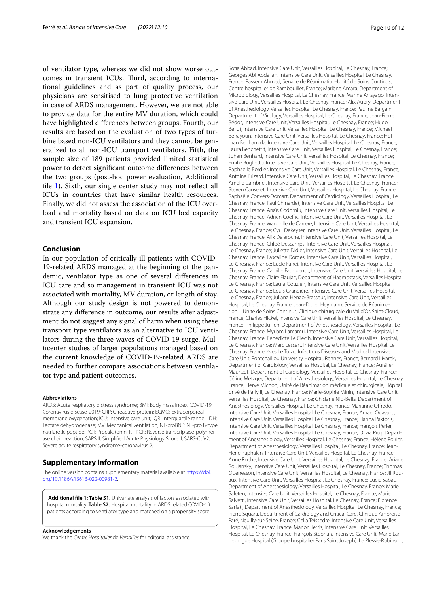of ventilator type, whereas we did not show worse outcomes in transient ICUs. Third, according to international guidelines and as part of quality process, our physicians are sensitised to lung protective ventilation in case of ARDS management. However, we are not able to provide data for the entire MV duration, which could have highlighted diferences between groups. Fourth, our results are based on the evaluation of two types of turbine based non-ICU ventilators and they cannot be generalized to all non-ICU transport ventilators. Fifth, the sample size of 189 patients provided limited statistical power to detect signifcant outcome diferences between the two groups (post-hoc power evaluation, Additional file [1\)](#page-9-0). Sixth, our single center study may not reflect all ICUs in countries that have similar health resources. Finally, we did not assess the association of the ICU overload and mortality based on data on ICU bed capacity and transient ICU expansion.

## **Conclusion**

In our population of critically ill patients with COVID-19-related ARDS managed at the beginning of the pandemic, ventilator type as one of several diferences in ICU care and so management in transient ICU was not associated with mortality, MV duration, or length of stay. Although our study design is not powered to demonstrate any diference in outcome, our results after adjustment do not suggest any signal of harm when using these transport type ventilators as an alternative to ICU ventilators during the three waves of COVID-19 surge. Multicenter studies of larger populations managed based on the current knowledge of COVID-19-related ARDS are needed to further compare associations between ventilator type and patient outcomes.

#### **Abbreviations**

ARDS: Acute respiratory distress syndrome; BMI: Body mass index; COVID-19: Coronavirus disease-2019; CRP: C-reactive protein; ECMO: Extracorporeal membrane oxygenation; ICU: Intensive care unit; IQR: Interquartile range; LDH: Lactate dehydrogenase; MV: Mechanical ventilation; NT-proBNP: NT-pro B-type natriuretic peptide; PCT: Procalcitonin; RT-PCR: Reverse transcriptase-polymerase chain reaction; SAPS II: Simplifed Acute Physiology Score II; SARS-CoV2: Severe acute respiratory syndrome-coronavirus 2.

## **Supplementary Information**

The online version contains supplementary material available at [https://doi.](https://doi.org/10.1186/s13613-022-00981-2) [org/10.1186/s13613-022-00981-2](https://doi.org/10.1186/s13613-022-00981-2).

<span id="page-9-0"></span>**Additional fle 1: Table S1.** Univariate analysis of factors associated with hospital mortality. **Table S2.** Hospital mortality in ARDS related COVID-19 patients according to ventilator type and matched on a propensity score.

#### **Acknowledgements**

We thank the *Centre Hospitalier* de *Versailles* for editorial assistance.

Sofa Abbad, Intensive Care Unit, Versailles Hospital, Le Chesnay, France; Georges Abi Abdallah, Intensive Care Unit, Versailles Hospital, Le Chesnay, France; Passem Ahmed, Service de Réanimation-Unité de Soins Continus, Centre hospitalier de Rambouillet, France; Marlène Amara, Department of Microbiology, Versailles Hospital, Le Chesnay, France; Marine Arrayago, Intensive Care Unit, Versailles Hospital, Le Chesnay, France; Alix Aubry, Department of Anesthesiology, Versailles Hospital, Le Chesnay, France; Pauline Bargain, Department of Virology, Versailles Hospital, Le Chesnay, France; Jean-Pierre Bédos, Intensive Care Unit, Versailles Hospital, Le Chesnay, France; Hugo Bellut, Intensive Care Unit, Versailles Hospital, Le Chesnay, France; Michael Benayoun, Intensive Care Unit, Versailles Hospital, Le Chesnay, France; Hot‑ man Benhamida, Intensive Care Unit, Versailles Hospital, Le Chesnay, France; Laura Benchetrit, Intensive Care Unit, Versailles Hospital, Le Chesnay, France; Johan Benhard, Intensive Care Unit, Versailles Hospital, Le Chesnay, France; Emilie Boglietto, Intensive Care Unit, Versailles Hospital, Le Chesnay, France; Raphaelle Bordier, Intensive Care Unit, Versailles Hospital, Le Chesnay, France; Antoine Brizard, Intensive Care Unit, Versailles Hospital, Le Chesnay, France; Amélie Cambriel, Intensive Care Unit, Versailles Hospital, Le Chesnay, France; Steven Causeret, Intensive Care Unit, Versailles Hospital, Le Chesnay, France; Raphaële Convers-Domart, Department of Cardiology, Versailles Hospital, Le Chesnay, France; Paul Chinardet, Intensive Care Unit, Versailles Hospital, Le Chesnay, France; Anaïs Codorniu, Intensive Care Unit, Versailles Hospital, Le Chesnay, France; Adrien Coeffic, Intensive Care Unit, Versailles Hospital, Le Chesnay, France; Wandrille de Carrere, Intensive Care Unit, Versailles Hospital, Le Chesnay, France; Cyril Dekeyser, Intensive Care Unit, Versailles Hospital, Le Chesnay, France; Alix Delaroche, Intensive Care Unit, Versailles Hospital, Le Chesnay, France; Chloé Descamps, Intensive Care Unit, Versailles Hospital, Le Chesnay, France; Juliette Didier, Intensive Care Unit, Versailles Hospital, Le Chesnay, France; Pascaline Dorges, Intensive Care Unit, Versailles Hospital, Le Chesnay, France; Lucie Fanet, Intensive Care Unit, Versailles Hospital, Le Chesnay, France; Camille Fauquenot, Intensive Care Unit, Versailles Hospital, Le Chesnay, France; Claire Flaujac, Department of Haemostasis, Versailles Hospital, Le Chesnay, France; Laura Gouzien, Intensive Care Unit, Versailles Hospital, Le Chesnay, France; Louis Grandière, Intensive Care Unit, Versailles Hospital, Le Chesnay, France; Juliana Henao-Brasseur, Intensive Care Unit, Versailles Hospital, Le Chesnay, France; Jean-Didier Heymann, Service de Réanimation – Unité de Soins Continus, Clinique chirurgicale du Val d'Or, Saint-Cloud, France; Charles Hickel, Intensive Care Unit, Versailles Hospital, Le Chesnay, France; Philippe Jullien, Department of Anesthesiology, Versailles Hospital, Le Chesnay, France; Myriam Lamamri, Intensive Care Unit, Versailles Hospital, Le Chesnay, France; Bénédicte Le Clec'h, Intensive Care Unit, Versailles Hospital, Le Chesnay, France; Marc Lessert, Intensive Care Unit, Versailles Hospital, Le Chesnay, France; Yves Le Tulzo, Infectious Diseases and Medical Intensive Care Unit, Pontchaillou University Hospital, Rennes, France; Bernard Livarek, Department of Cardiology, Versailles Hospital, Le Chesnay, France; Aurélien Maurizot, Department of Cardiology, Versailles Hospital, Le Chesnay, France; Céline Metzger, Department of Anesthesiology, Versailles Hospital, Le Chesnay, France; Hervé Michon, Unité de Réanimation médicale et chirurgicale, Hôpital privé de Parly II, Le Chesnay, France; Marie-Sophie Minin, Intensive Care Unit, Versailles Hospital, Le Chesnay, France; Ghislane Nid-Bella, Department of Anesthesiology, Versailles Hospital, Le Chesnay, France; Marianne Ofredo, Intensive Care Unit, Versailles Hospital, Le Chesnay, France; Amael Ouassou, Intensive Care Unit, Versailles Hospital, Le Chesnay, France; Hanna Paktoris, Intensive Care Unit, Versailles Hospital, Le Chesnay, France; François Perier, Intensive Care Unit, Versailles Hospital, Le Chesnay, France; Olivia Picq, Department of Anesthesiology, Versailles Hospital, Le Chesnay, France; Hélène Poirier, Department of Anesthesiology, Versailles Hospital, Le Chesnay, France; Jean-Herlé Raphalen, Intensive Care Unit, Versailles Hospital, Le Chesnay, France; Anne Roche, Intensive Care Unit, Versailles Hospital, Le Chesnay, France; Ariane Roujansky, Intensive Care Unit, Versailles Hospital, Le Chesnay, France; Thomas Quenesson, Intensive Care Unit, Versailles Hospital, Le Chesnay, France; Jil Rouaux, Intensive Care Unit, Versailles Hospital, Le Chesnay, France; Lucie Sabau, Department of Anesthesiology, Versailles Hospital, Le Chesnay, France; Marie Saleten, Intensive Care Unit, Versailles Hospital, Le Chesnay, France; Marie Salvetti, Intensive Care Unit, Versailles Hospital, Le Chesnay, France; Florence Sarfati, Department of Anesthesiology, Versailles Hospital, Le Chesnay, France; Pierre Squara, Department of Cardiology and Critical Care, Clinique Ambroise Paré, Neuilly-sur-Seine, France; Celia Teissedre, Intensive Care Unit, Versailles Hospital, Le Chesnay, France; Manon Terris, Intensive Care Unit, Versailles Hospital, Le Chesnay, France; François Stephan, Intensive Care Unit, Marie Lannelongue Hospital (Groupe hospitalier Paris Saint Joseph), Le Plessis-Robinson,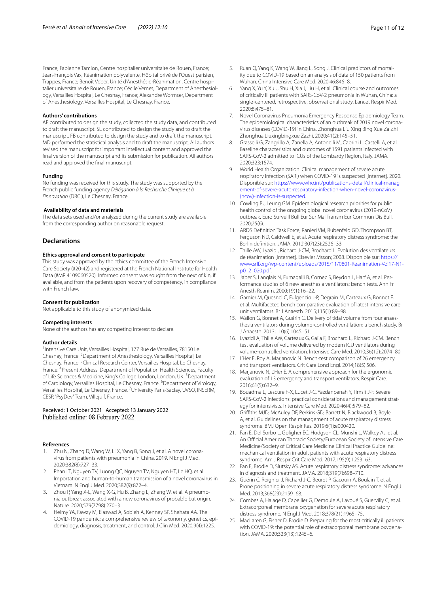France; Fabienne Tamion, Centre hospitalier universitaire de Rouen, France; Jean-François Vax, Réanimation polyvalente, Hôpital privé de l'Ouest parisien, Trappes, France; Benoît Veber, Unité d'Anesthésie-Réanimation, Centre hospitalier universitaire de Rouen, France; Cécile Vernet, Department of Anesthesiology, Versailles Hospital, Le Chesnay, France; Alexandre Wormser, Department of Anesthesiology, Versailles Hospital, Le Chesnay, France.

#### **Authors' contributions**

AF contributed to design the study, collected the study data, and contributed to draft the manuscript. SL contributed to design the study and to draft the manuscript. FB contributed to design the study and to draft the manuscript. MD performed the statistical analysis and to draft the manuscript. All authors revised the manuscript for important intellectual content and approved the fnal version of the manuscript and its submission for publication. All authors read and approved the fnal manuscript.

#### **Funding**

No funding was received for this study. The study was supported by the French public funding agency *Délégation à la Recherche Clinique et à l'Innovation* (DRCI), Le Chesnay, France.

#### **Availability of data and materials**

The data sets used and/or analyzed during the current study are available from the corresponding author on reasonable request.

## **Declarations**

#### **Ethics approval and consent to participate**

This study was approved by the ethics committee of the French Intensive Care Society (#20-42) and registered at the French National Institute for Health Data (#MR 4109060520). Informed consent was sought from the next of kin, if available, and from the patients upon recovery of competency, in compliance with French law.

#### **Consent for publication**

Not applicable to this study of anonymized data.

#### **Competing interests**

None of the authors has any competing interest to declare.

#### **Author details**

<sup>1</sup> Intensive Care Unit, Versailles Hospital, 177 Rue de Versailles, 78150 Le Chesnay, France. <sup>2</sup> Department of Anesthesiology, Versailles Hospital, Le Chesnay, France. <sup>3</sup> Clinical Research Center, Versailles Hospital, Le Chesnay, France. <sup>4</sup> Present Address: Department of Population Health Sciences, Faculty of Life Sciences & Medicine, King's College London, London, UK. <sup>5</sup>Department of Cardiology, Versailles Hospital, Le Chesnay, France. <sup>6</sup>Department of Virology, Versailles Hospital, Le Chesnay, France. <sup>7</sup> University Paris-Saclay, UVSQ, INSERM, CESP, "PsyDev" Team, Villejuif, France.

## Received: 1 October 2021 Accepted: 13 January 2022 Published online: 08 February 2022

## **References**

- <span id="page-10-0"></span>1. Zhu N, Zhang D, Wang W, Li X, Yang B, Song J, et al. A novel coronavirus from patients with pneumonia in China, 2019. N Engl J Med. 2020;382(8):727–33.
- 2. Phan LT, Nguyen TV, Luong QC, Nguyen TV, Nguyen HT, Le HQ, et al. Importation and human-to-human transmission of a novel coronavirus in Vietnam. N Engl J Med. 2020;382(9):872–4.
- 3. Zhou P, Yang X-L, Wang X-G, Hu B, Zhang L, Zhang W, et al. A pneumonia outbreak associated with a new coronavirus of probable bat origin. Nature. 2020;579(7798):270–3.
- <span id="page-10-1"></span>4. Helmy YA, Fawzy M, Elaswad A, Sobieh A, Kenney SP, Shehata AA. The COVID-19 pandemic: a comprehensive review of taxonomy, genetics, epidemiology, diagnosis, treatment, and control. J Clin Med. 2020;9(4):1225.
- <span id="page-10-2"></span>5. Ruan Q, Yang K, Wang W, Jiang L, Song J. Clinical predictors of mortality due to COVID-19 based on an analysis of data of 150 patients from Wuhan. China Intensive Care Med. 2020;46:846–8.
- 6. Yang X, Yu Y, Xu J, Shu H, Xia J, Liu H, et al. Clinical course and outcomes of critically ill patients with SARS-CoV-2 pneumonia in Wuhan, China: a single-centered, retrospective, observational study. Lancet Respir Med. 2020;8:475–81.
- 7. Novel Coronavirus Pneumonia Emergency Response Epidemiology Team. The epidemiological characteristics of an outbreak of 2019 novel coronavirus diseases (COVID-19) in China. Zhonghua Liu Xing Bing Xue Za Zhi Zhonghua Liuxingbingxue Zazhi. 2020;41(2):145–51.
- 8. Grasselli G, Zangrillo A, Zanella A, Antonelli M, Cabrini L, Castelli A, et al. Baseline characteristics and outcomes of 1591 patients infected with SARS-CoV-2 admitted to ICUs of the Lombardy Region, Italy. JAMA. 2020;323:1574.
- <span id="page-10-3"></span>9. World Health Organization. Clinical management of severe acute respiratory infection (SARI) when COVID-19 is suspected [Internet]. 2020. Disponible sur: [https://www.who.int/publications-detail/clinical-manag](https://www.who.int/publications-detail/clinical-management-of-severe-acute-respiratory-infection-when-novel-coronavirus-(ncov)-infection-is-suspected) [ement-of-severe-acute-respiratory-infection-when-novel-coronavirus-](https://www.who.int/publications-detail/clinical-management-of-severe-acute-respiratory-infection-when-novel-coronavirus-(ncov)-infection-is-suspected) [\(ncov\)-infection-is-suspected.](https://www.who.int/publications-detail/clinical-management-of-severe-acute-respiratory-infection-when-novel-coronavirus-(ncov)-infection-is-suspected)
- <span id="page-10-4"></span>10. Cowling BJ, Leung GM. Epidemiological research priorities for public health control of the ongoing global novel coronavirus (2019-nCoV) outbreak. Euro Surveill Bull Eur Sur Mal Transm Eur Commun Dis Bull. 2020;25(6).
- <span id="page-10-5"></span>11. ARDS Defnition Task Force, Ranieri VM, Rubenfeld GD, Thompson BT, Ferguson ND, Caldwell E, et al. Acute respiratory distress syndrome: the Berlin defnition. JAMA. 2012;307(23):2526–33.
- <span id="page-10-6"></span>12. Thille AW, Lyazidi, Richard J-CM, Brochard L. Evolution des ventilateurs de réanimation [Internet]. Elsevier Msson; 2008. Disponible sur: [https://](https://www.srlf.org/wp-content/uploads/2015/11/0801-Reanimation-Vol17-N1-p012_020.pdf) [www.srlf.org/wp-content/uploads/2015/11/0801-Reanimation-Vol17-N1](https://www.srlf.org/wp-content/uploads/2015/11/0801-Reanimation-Vol17-N1-p012_020.pdf) [p012\\_020.pdf.](https://www.srlf.org/wp-content/uploads/2015/11/0801-Reanimation-Vol17-N1-p012_020.pdf)
- <span id="page-10-7"></span>13. Jaber S, Langlais N, Fumagalli B, Cornec S, Beydon L, Harf A, et al. Performance studies of 6 new anesthesia ventilators: bench tests. Ann Fr Anesth Reanim. 2000;19(1):16–22.
- 14. Garnier M, Quesnel C, Fulgencio J-P, Degrain M, Carteaux G, Bonnet F, et al. Multifaceted bench comparative evaluation of latest intensive care unit ventilators. Br J Anaesth. 2015;115(1):89–98.
- <span id="page-10-13"></span>15. Wallon G, Bonnet A, Guérin C. Delivery of tidal volume from four anaesthesia ventilators during volume-controlled ventilation: a bench study. Br J Anaesth. 2013;110(6):1045–51.
- <span id="page-10-14"></span>16. Lyazidi A, Thille AW, Carteaux G, Galia F, Brochard L, Richard J-CM. Bench test evaluation of volume delivered by modern ICU ventilators during volume-controlled ventilation. Intensive Care Med. 2010;36(12):2074–80.
- <span id="page-10-15"></span>17. L'Her E, Roy A, Marjanovic N. Bench-test comparison of 26 emergency and transport ventilators. Crit Care Lond Engl. 2014;18(5):506.
- <span id="page-10-8"></span>18. Marjanovic N, L'Her E. A comprehensive approach for the ergonomic evaluation of 13 emergency and transport ventilators. Respir Care. 2016;61(5):632–9.
- <span id="page-10-9"></span>19. Bouadma L, Lescure F-X, Lucet J-C, Yazdanpanah Y, Timsit J-F. Severe SARS-CoV-2 infections: practical considerations and management strategy for intensivists. Intensive Care Med. 2020;46(4):579–82.
- <span id="page-10-10"></span>20. Grifths MJD, McAuley DF, Perkins GD, Barrett N, Blackwood B, Boyle A, et al. Guidelines on the management of acute respiratory distress syndrome. BMJ Open Respir Res. 2019;6(1):e000420.
- 21. Fan E, Del Sorbo L, Goligher EC, Hodgson CL, Munshi L, Walkey AJ, et al. An Official American Thoracic Society/European Society of Intensive Care Medicine/Society of Critical Care Medicine Clinical Practice Guideline: mechanical ventilation in adult patients with acute respiratory distress syndrome. Am J Respir Crit Care Med. 2017;195(9):1253–63.
- 22. Fan E, Brodie D, Slutsky AS. Acute respiratory distress syndrome: advances in diagnosis and treatment. JAMA. 2018;319(7):698–710.
- <span id="page-10-11"></span>23. Guérin C, Reignier J, Richard J-C, Beuret P, Gacouin A, Boulain T, et al. Prone positioning in severe acute respiratory distress syndrome. N Engl J Med. 2013;368(23):2159–68.
- <span id="page-10-12"></span>24. Combes A, Hajage D, Capellier G, Demoule A, Lavoué S, Guervilly C, et al. Extracorporeal membrane oxygenation for severe acute respiratory distress syndrome. N Engl J Med. 2018;378(21):1965–75.
- 25. MacLaren G, Fisher D, Brodie D. Preparing for the most critically ill patients with COVID-19: the potential role of extracorporeal membrane oxygenation. JAMA. 2020;323(13):1245–6.